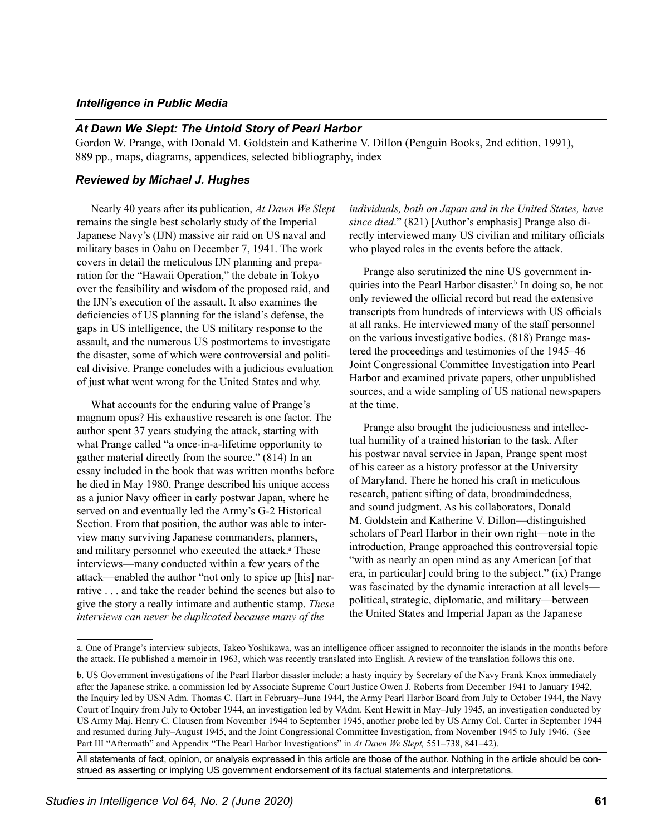## *Intelligence in Public Media*

## *At Dawn We Slept: The Untold Story of Pearl Harbor*

Gordon W. Prange, with Donald M. Goldstein and Katherine V. Dillon (Penguin Books, 2nd edition, 1991), 889 pp., maps, diagrams, appendices, selected bibliography, index

## *Reviewed by Michael J. Hughes*

Nearly 40 years after its publication, *At Dawn We Slept* remains the single best scholarly study of the Imperial Japanese Navy's (IJN) massive air raid on US naval and military bases in Oahu on December 7, 1941. The work covers in detail the meticulous IJN planning and preparation for the "Hawaii Operation," the debate in Tokyo over the feasibility and wisdom of the proposed raid, and the IJN's execution of the assault. It also examines the deficiencies of US planning for the island's defense, the gaps in US intelligence, the US military response to the assault, and the numerous US postmortems to investigate the disaster, some of which were controversial and political divisive. Prange concludes with a judicious evaluation of just what went wrong for the United States and why.

What accounts for the enduring value of Prange's magnum opus? His exhaustive research is one factor. The author spent 37 years studying the attack, starting with what Prange called "a once-in-a-lifetime opportunity to gather material directly from the source." (814) In an essay included in the book that was written months before he died in May 1980, Prange described his unique access as a junior Navy officer in early postwar Japan, where he served on and eventually led the Army's G-2 Historical Section. From that position, the author was able to interview many surviving Japanese commanders, planners, and military personnel who executed the attack.<sup>a</sup> These interviews—many conducted within a few years of the attack—enabled the author "not only to spice up [his] narrative . . . and take the reader behind the scenes but also to give the story a really intimate and authentic stamp. *These interviews can never be duplicated because many of the* 

*individuals, both on Japan and in the United States, have since died*." (821) [Author's emphasis] Prange also directly interviewed many US civilian and military officials who played roles in the events before the attack.

Prange also scrutinized the nine US government inquiries into the Pearl Harbor disaster.<sup>b</sup> In doing so, he not only reviewed the official record but read the extensive transcripts from hundreds of interviews with US officials at all ranks. He interviewed many of the staff personnel on the various investigative bodies. (818) Prange mastered the proceedings and testimonies of the 1945–46 Joint Congressional Committee Investigation into Pearl Harbor and examined private papers, other unpublished sources, and a wide sampling of US national newspapers at the time.

Prange also brought the judiciousness and intellectual humility of a trained historian to the task. After his postwar naval service in Japan, Prange spent most of his career as a history professor at the University of Maryland. There he honed his craft in meticulous research, patient sifting of data, broadmindedness, and sound judgment. As his collaborators, Donald M. Goldstein and Katherine V. Dillon—distinguished scholars of Pearl Harbor in their own right—note in the introduction, Prange approached this controversial topic "with as nearly an open mind as any American [of that era, in particular] could bring to the subject." (ix) Prange was fascinated by the dynamic interaction at all levels political, strategic, diplomatic, and military—between the United States and Imperial Japan as the Japanese

All statements of fact, opinion, or analysis expressed in this article are those of the author. Nothing in the article should be construed as asserting or implying US government endorsement of its factual statements and interpretations.

a. One of Prange's interview subjects, Takeo Yoshikawa, was an intelligence officer assigned to reconnoiter the islands in the months before the attack. He published a memoir in 1963, which was recently translated into English. A review of the translation follows this one.

b. US Government investigations of the Pearl Harbor disaster include: a hasty inquiry by Secretary of the Navy Frank Knox immediately after the Japanese strike, a commission led by Associate Supreme Court Justice Owen J. Roberts from December 1941 to January 1942, the Inquiry led by USN Adm. Thomas C. Hart in February–June 1944, the Army Pearl Harbor Board from July to October 1944, the Navy Court of Inquiry from July to October 1944, an investigation led by VAdm. Kent Hewitt in May–July 1945, an investigation conducted by US Army Maj. Henry C. Clausen from November 1944 to September 1945, another probe led by US Army Col. Carter in September 1944 and resumed during July–August 1945, and the Joint Congressional Committee Investigation, from November 1945 to July 1946. (See Part III "Aftermath" and Appendix "The Pearl Harbor Investigations" in *At Dawn We Slept,* 551–738, 841–42).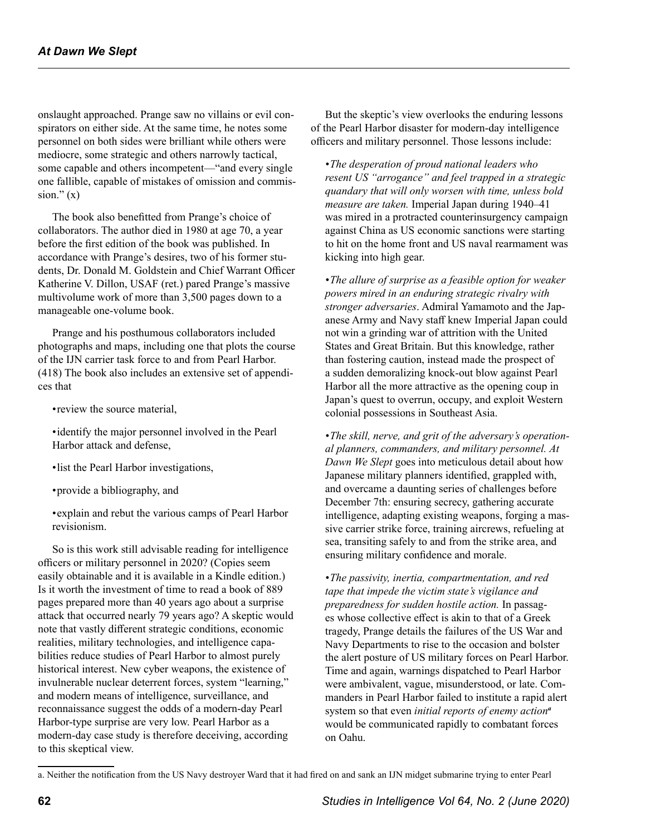onslaught approached. Prange saw no villains or evil conspirators on either side. At the same time, he notes some personnel on both sides were brilliant while others were mediocre, some strategic and others narrowly tactical, some capable and others incompetent—"and every single one fallible, capable of mistakes of omission and commission." $(x)$ 

The book also benefitted from Prange's choice of collaborators. The author died in 1980 at age 70, a year before the first edition of the book was published. In accordance with Prange's desires, two of his former students, Dr. Donald M. Goldstein and Chief Warrant Officer Katherine V. Dillon, USAF (ret.) pared Prange's massive multivolume work of more than 3,500 pages down to a manageable one-volume book.

Prange and his posthumous collaborators included photographs and maps, including one that plots the course of the IJN carrier task force to and from Pearl Harbor. (418) The book also includes an extensive set of appendices that

•review the source material,

•identify the major personnel involved in the Pearl Harbor attack and defense,

•list the Pearl Harbor investigations,

•provide a bibliography, and

•explain and rebut the various camps of Pearl Harbor revisionism.

So is this work still advisable reading for intelligence officers or military personnel in 2020? (Copies seem easily obtainable and it is available in a Kindle edition.) Is it worth the investment of time to read a book of 889 pages prepared more than 40 years ago about a surprise attack that occurred nearly 79 years ago? A skeptic would note that vastly different strategic conditions, economic realities, military technologies, and intelligence capabilities reduce studies of Pearl Harbor to almost purely historical interest. New cyber weapons, the existence of invulnerable nuclear deterrent forces, system "learning," and modern means of intelligence, surveillance, and reconnaissance suggest the odds of a modern-day Pearl Harbor-type surprise are very low. Pearl Harbor as a modern-day case study is therefore deceiving, according to this skeptical view.

But the skeptic's view overlooks the enduring lessons of the Pearl Harbor disaster for modern-day intelligence officers and military personnel. Those lessons include:

*•The desperation of proud national leaders who resent US "arrogance" and feel trapped in a strategic quandary that will only worsen with time, unless bold measure are taken.* Imperial Japan during 1940–41 was mired in a protracted counterinsurgency campaign against China as US economic sanctions were starting to hit on the home front and US naval rearmament was kicking into high gear.

*•The allure of surprise as a feasible option for weaker powers mired in an enduring strategic rivalry with stronger adversaries*. Admiral Yamamoto and the Japanese Army and Navy staff knew Imperial Japan could not win a grinding war of attrition with the United States and Great Britain. But this knowledge, rather than fostering caution, instead made the prospect of a sudden demoralizing knock-out blow against Pearl Harbor all the more attractive as the opening coup in Japan's quest to overrun, occupy, and exploit Western colonial possessions in Southeast Asia.

*•The skill, nerve, and grit of the adversary's operational planners, commanders, and military personnel. At Dawn We Slept* goes into meticulous detail about how Japanese military planners identified, grappled with, and overcame a daunting series of challenges before December 7th: ensuring secrecy, gathering accurate intelligence, adapting existing weapons, forging a massive carrier strike force, training aircrews, refueling at sea, transiting safely to and from the strike area, and ensuring military confidence and morale.

*•The passivity, inertia, compartmentation, and red tape that impede the victim state's vigilance and preparedness for sudden hostile action.* In passages whose collective effect is akin to that of a Greek tragedy, Prange details the failures of the US War and Navy Departments to rise to the occasion and bolster the alert posture of US military forces on Pearl Harbor. Time and again, warnings dispatched to Pearl Harbor were ambivalent, vague, misunderstood, or late. Commanders in Pearl Harbor failed to institute a rapid alert system so that even *initial reports of enemy action<sup>a</sup>* would be communicated rapidly to combatant forces on Oahu.

a. Neither the notification from the US Navy destroyer Ward that it had fired on and sank an IJN midget submarine trying to enter Pearl